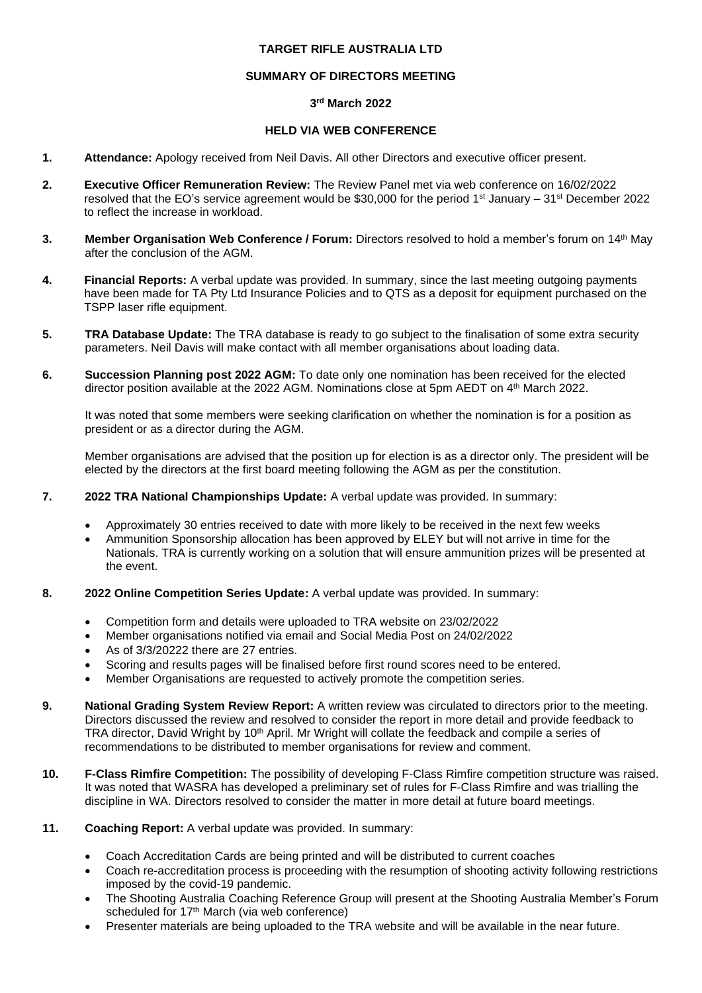## **TARGET RIFLE AUSTRALIA LTD**

### **SUMMARY OF DIRECTORS MEETING**

### **3 rd March 2022**

### **HELD VIA WEB CONFERENCE**

- **1. Attendance:** Apology received from Neil Davis. All other Directors and executive officer present.
- **2. Executive Officer Remuneration Review:** The Review Panel met via web conference on 16/02/2022 resolved that the EO's service agreement would be \$30,000 for the period 1st January – 31st December 2022 to reflect the increase in workload.
- **3. Member Organisation Web Conference / Forum:** Directors resolved to hold a member's forum on 14<sup>th</sup> May after the conclusion of the AGM.
- **4. Financial Reports:** A verbal update was provided. In summary, since the last meeting outgoing payments have been made for TA Pty Ltd Insurance Policies and to QTS as a deposit for equipment purchased on the TSPP laser rifle equipment.
- **5. TRA Database Update:** The TRA database is ready to go subject to the finalisation of some extra security parameters. Neil Davis will make contact with all member organisations about loading data.
- **6. Succession Planning post 2022 AGM:** To date only one nomination has been received for the elected director position available at the 2022 AGM. Nominations close at 5pm AEDT on 4<sup>th</sup> March 2022.

It was noted that some members were seeking clarification on whether the nomination is for a position as president or as a director during the AGM.

Member organisations are advised that the position up for election is as a director only. The president will be elected by the directors at the first board meeting following the AGM as per the constitution.

- **7. 2022 TRA National Championships Update:** A verbal update was provided. In summary:
	- Approximately 30 entries received to date with more likely to be received in the next few weeks
	- Ammunition Sponsorship allocation has been approved by ELEY but will not arrive in time for the Nationals. TRA is currently working on a solution that will ensure ammunition prizes will be presented at the event.
- **8. 2022 Online Competition Series Update:** A verbal update was provided. In summary:
	- Competition form and details were uploaded to TRA website on 23/02/2022
	- Member organisations notified via email and Social Media Post on 24/02/2022
	- As of 3/3/20222 there are 27 entries.
	- Scoring and results pages will be finalised before first round scores need to be entered.
	- Member Organisations are requested to actively promote the competition series.
- **9. National Grading System Review Report:** A written review was circulated to directors prior to the meeting. Directors discussed the review and resolved to consider the report in more detail and provide feedback to TRA director, David Wright by 10<sup>th</sup> April. Mr Wright will collate the feedback and compile a series of recommendations to be distributed to member organisations for review and comment.
- **10. F-Class Rimfire Competition:** The possibility of developing F-Class Rimfire competition structure was raised. It was noted that WASRA has developed a preliminary set of rules for F-Class Rimfire and was trialling the discipline in WA. Directors resolved to consider the matter in more detail at future board meetings.
- **11. Coaching Report:** A verbal update was provided. In summary:
	- Coach Accreditation Cards are being printed and will be distributed to current coaches
	- Coach re-accreditation process is proceeding with the resumption of shooting activity following restrictions imposed by the covid-19 pandemic.
	- The Shooting Australia Coaching Reference Group will present at the Shooting Australia Member's Forum scheduled for 17<sup>th</sup> March (via web conference)
	- Presenter materials are being uploaded to the TRA website and will be available in the near future.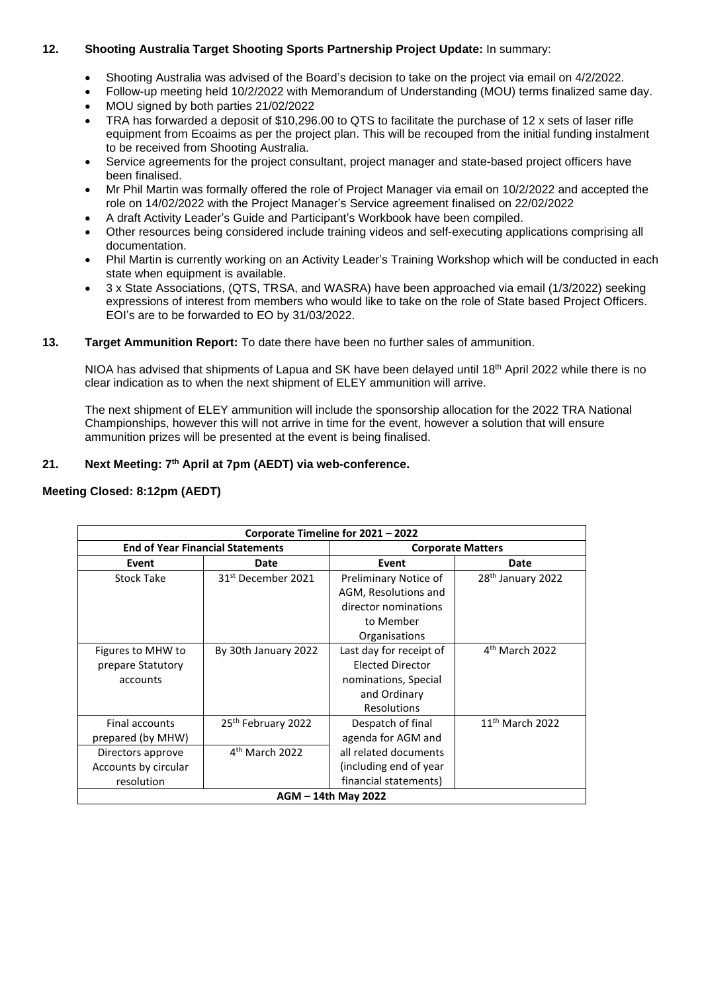# **12. Shooting Australia Target Shooting Sports Partnership Project Update:** In summary:

- Shooting Australia was advised of the Board's decision to take on the project via email on 4/2/2022.
- Follow-up meeting held 10/2/2022 with Memorandum of Understanding (MOU) terms finalized same day.
- MOU signed by both parties 21/02/2022
- TRA has forwarded a deposit of \$10,296.00 to QTS to facilitate the purchase of 12 x sets of laser rifle equipment from Ecoaims as per the project plan. This will be recouped from the initial funding instalment to be received from Shooting Australia.
- Service agreements for the project consultant, project manager and state-based project officers have been finalised.
- Mr Phil Martin was formally offered the role of Project Manager via email on 10/2/2022 and accepted the role on 14/02/2022 with the Project Manager's Service agreement finalised on 22/02/2022
- A draft Activity Leader's Guide and Participant's Workbook have been compiled.
- Other resources being considered include training videos and self-executing applications comprising all documentation.
- Phil Martin is currently working on an Activity Leader's Training Workshop which will be conducted in each state when equipment is available.
- 3 x State Associations, (QTS, TRSA, and WASRA) have been approached via email (1/3/2022) seeking expressions of interest from members who would like to take on the role of State based Project Officers. EOI's are to be forwarded to EO by 31/03/2022.

## **13. Target Ammunition Report:** To date there have been no further sales of ammunition.

NIOA has advised that shipments of Lapua and SK have been delayed until 18<sup>th</sup> April 2022 while there is no clear indication as to when the next shipment of ELEY ammunition will arrive.

The next shipment of ELEY ammunition will include the sponsorship allocation for the 2022 TRA National Championships, however this will not arrive in time for the event, however a solution that will ensure ammunition prizes will be presented at the event is being finalised.

## **21. Next Meeting: 7 th April at 7pm (AEDT) via web-conference.**

## **Meeting Closed: 8:12pm (AEDT)**

| Corporate Timeline for 2021 - 2022      |                                |                          |                               |  |
|-----------------------------------------|--------------------------------|--------------------------|-------------------------------|--|
| <b>End of Year Financial Statements</b> |                                | <b>Corporate Matters</b> |                               |  |
| Event                                   | Date                           | Event                    | Date                          |  |
| Stock Take                              | 31 <sup>st</sup> December 2021 | Preliminary Notice of    | 28 <sup>th</sup> January 2022 |  |
|                                         |                                | AGM, Resolutions and     |                               |  |
|                                         |                                | director nominations     |                               |  |
|                                         |                                | to Member                |                               |  |
|                                         |                                | Organisations            |                               |  |
| Figures to MHW to                       | By 30th January 2022           | Last day for receipt of  | $4th$ March 2022              |  |
| prepare Statutory                       |                                | <b>Elected Director</b>  |                               |  |
| accounts                                |                                | nominations, Special     |                               |  |
|                                         |                                | and Ordinary             |                               |  |
|                                         |                                | <b>Resolutions</b>       |                               |  |
| Final accounts                          | 25 <sup>th</sup> February 2022 | Despatch of final        | $11th$ March 2022             |  |
| prepared (by MHW)                       |                                | agenda for AGM and       |                               |  |
| Directors approve                       | $4th$ March 2022               | all related documents    |                               |  |
| Accounts by circular                    |                                | (including end of year)  |                               |  |
| resolution                              |                                | financial statements)    |                               |  |
| AGM - 14th May 2022                     |                                |                          |                               |  |